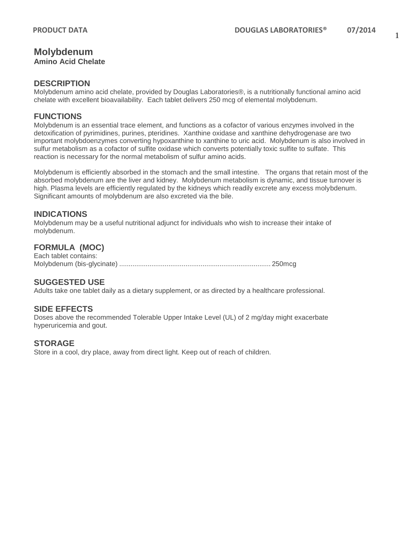# **Molybdenum**

**Amino Acid Chelate**

#### **DESCRIPTION**

Molybdenum amino acid chelate, provided by Douglas Laboratories®, is a nutritionally functional amino acid chelate with excellent bioavailability. Each tablet delivers 250 mcg of elemental molybdenum.

#### **FUNCTIONS**

Molybdenum is an essential trace element, and functions as a cofactor of various enzymes involved in the detoxification of pyrimidines, purines, pteridines. Xanthine oxidase and xanthine dehydrogenase are two important molybdoenzymes converting hypoxanthine to xanthine to uric acid. Molybdenum is also involved in sulfur metabolism as a cofactor of sulfite oxidase which converts potentially toxic sulfite to sulfate. This reaction is necessary for the normal metabolism of sulfur amino acids.

Molybdenum is efficiently absorbed in the stomach and the small intestine. The organs that retain most of the absorbed molybdenum are the liver and kidney. Molybdenum metabolism is dynamic, and tissue turnover is high. Plasma levels are efficiently regulated by the kidneys which readily excrete any excess molybdenum. Significant amounts of molybdenum are also excreted via the bile.

#### **INDICATIONS**

Molybdenum may be a useful nutritional adjunct for individuals who wish to increase their intake of molybdenum.

## **FORMULA (MOC)**

Each tablet contains: Molybdenum (bis-glycinate) ................................................................................ 250mcg

## **SUGGESTED USE**

Adults take one tablet daily as a dietary supplement, or as directed by a healthcare professional.

## **SIDE EFFECTS**

Doses above the recommended Tolerable Upper Intake Level (UL) of 2 mg/day might exacerbate hyperuricemia and gout.

#### **STORAGE**

Store in a cool, dry place, away from direct light. Keep out of reach of children.